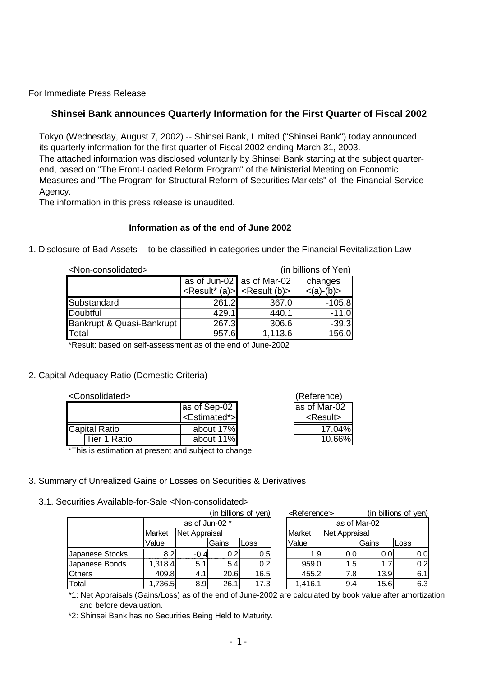For Immediate Press Release

# **Shinsei Bank announces Quarterly Information for the First Quarter of Fiscal 2002**

Tokyo (Wednesday, August 7, 2002) -- Shinsei Bank, Limited ("Shinsei Bank") today announced its quarterly information for the first quarter of Fiscal 2002 ending March 31, 2003. The attached information was disclosed voluntarily by Shinsei Bank starting at the subject quarterend, based on "The Front-Loaded Reform Program" of the Ministerial Meeting on Economic Measures and "The Program for Structural Reform of Securities Markets" of the Financial Service Agency.

The information in this press release is unaudited.

## **Information as of the end of June 2002**

1. Disclosure of Bad Assets -- to be classified in categories under the Financial Revitalization Law

| <non-consolidated><br/>(in billions of Yen)</non-consolidated> |       |                                                     |             |  |  |  |  |  |  |
|----------------------------------------------------------------|-------|-----------------------------------------------------|-------------|--|--|--|--|--|--|
|                                                                |       | as $of$ Jun-02 as $of$ Mar-02                       | changes     |  |  |  |  |  |  |
|                                                                |       | <result* (a)=""> <result (b)=""></result></result*> | $<(a)-(b)>$ |  |  |  |  |  |  |
| Substandard                                                    | 261.2 | 367.0                                               | $-105.8$    |  |  |  |  |  |  |
| Doubtful                                                       | 429.1 | 440.1                                               | $-11.0$     |  |  |  |  |  |  |
| Bankrupt & Quasi-Bankrupt                                      | 267.3 | 306.6                                               | $-39.3$     |  |  |  |  |  |  |
| Total                                                          | 957.6 | 1,113.6                                             | $-156.0$    |  |  |  |  |  |  |

\*Result: based on self-assessment as of the end of June-2002

### 2. Capital Adequacy Ratio (Domestic Criteria)

<Consolidated> (Reference)

| NUUTIUUTTUUTT        |                                           | 1110101011001                     |
|----------------------|-------------------------------------------|-----------------------------------|
|                      | as of Sep-02<br><estimated*></estimated*> | as of Mar-02<br><result></result> |
| <b>Capital Ratio</b> | about 17%                                 | 17.04%                            |
| <b>Tier 1 Ratio</b>  | about 11%                                 | 10.66%                            |
|                      |                                           |                                   |

\*This is estimation at present and subject to change.

### 3. Summary of Unrealized Gains or Losses on Securities & Derivatives

### 3.1. Securities Available-for-Sale <Non-consolidated>

|                 |         |               |                | (in billions of yen) | <reference></reference> |               |              | (in billions of yen) |
|-----------------|---------|---------------|----------------|----------------------|-------------------------|---------------|--------------|----------------------|
|                 |         |               | as of Jun-02 * |                      |                         |               | as of Mar-02 |                      |
|                 | Market  | Net Appraisal |                |                      | Market                  | Net Appraisal |              |                      |
|                 | Value   |               | Gains          | Loss                 | Value                   |               | Gains        | Loss                 |
| Japanese Stocks | 8.2     | $-0.4$        | 0.2            | 0.5                  | 1.9 <sub>l</sub>        | 0.0           | 0.01         | 0.0                  |
| Japanese Bonds  | 1,318.4 | 5.1           | 5.4            | 0.2                  | 959.0                   | 1.5           | 1.7          | 0.2                  |
| <b>Others</b>   | 409.8   | 4.1           | 20.6           | 16.5                 | 455.2                   | 7.8           | 13.9         | 6.1                  |
| Total           | 1,736.5 | 8.9           | 26.1           | 17.3                 | 1,416.1                 | 9.4           | 15.6         | 6.3                  |

\*1: Net Appraisals (Gains/Loss) as of the end of June-2002 are calculated by book value after amortization and before devaluation.

\*2: Shinsei Bank has no Securities Being Held to Maturity.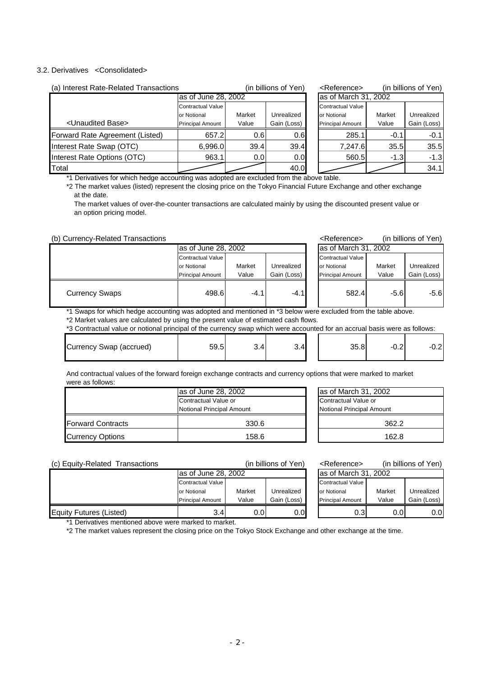#### 3.2. Derivatives <Consolidated>

| (a) Interest Rate-Related Transactions | (in billions of Yen)     |        |             | <reference></reference> |                          | (in billions of Yen) |             |
|----------------------------------------|--------------------------|--------|-------------|-------------------------|--------------------------|----------------------|-------------|
|                                        | as of June 28, 2002      |        |             |                         | as of March 31, 2002     |                      |             |
|                                        | <b>Contractual Value</b> |        |             |                         | <b>Contractual Value</b> |                      |             |
|                                        | or Notional              | Market | Unrealized  |                         | or Notional              | Market               | Unrealized  |
| <unaudited base=""></unaudited>        | <b>Principal Amount</b>  | Value  | Gain (Loss) |                         | <b>Principal Amount</b>  | Value                | Gain (Loss) |
| Forward Rate Agreement (Listed)        | 657.2                    | 0.6    | 0.6I        |                         | 285.1                    | $-0.1$               | $-0.1$      |
| Interest Rate Swap (OTC)               | 6.996.0                  | 39.4   | 39.4        |                         | 7.247.6                  | 35.5                 | 35.5        |
| Interest Rate Options (OTC)            | 963.1                    | 0.0    | 0.0         |                         | 560.5                    | $-1.3$               | $-1.3$      |
| Total                                  |                          |        | 40.0        |                         |                          |                      | 34.1        |

\*1 Derivatives for which hedge accounting was adopted are excluded from the above table.

\*2 The market values (listed) represent the closing price on the Tokyo Financial Future Exchange and other exchange at the date.

 The market values of over-the-counter transactions are calculated mainly by using the discounted present value or an option pricing model.

(b) Currency-Related Transactions <Reference> (in billions of Yen)

|                                                                                                               | as of June 28, 2002      |        |             | as of March 31, 2002     |        |             |  |
|---------------------------------------------------------------------------------------------------------------|--------------------------|--------|-------------|--------------------------|--------|-------------|--|
|                                                                                                               | <b>Contractual Value</b> |        |             | <b>Contractual Value</b> |        |             |  |
|                                                                                                               | or Notional              | Market | Unrealized  | or Notional              | Market | Unrealized  |  |
|                                                                                                               | <b>Principal Amount</b>  | Value  | Gain (Loss) | <b>Principal Amount</b>  | Value  | Gain (Loss) |  |
| <b>Currency Swaps</b>                                                                                         | 498.6                    | $-4.1$ | $-4.1$      | 582.4                    | $-5.6$ | $-5.6$      |  |
| *1 Swaps for which hedge accounting was adopted and mentioned in *3 below were excluded from the table above. |                          |        |             |                          |        |             |  |

\*2 Market values are calculated by using the present value of estimated cash flows.

\*3 Contractual value or notional principal of the currency swap which were accounted for an accrual basis were as follows:

| ___<br>-----<br>Currency Swap (accrued) | ____<br>59.5 | v. | 3.4 | $\sim$<br>$\sim$ | __<br>$\sim$<br>◡.∠ | ◡.∠ |
|-----------------------------------------|--------------|----|-----|------------------|---------------------|-----|
|                                         |              |    |     |                  |                     |     |

And contractual values of the forward foreign exchange contracts and currency options that were marked to market were as follows:

|                          | as of June 28, 2002       | as of March 31, 2002      |
|--------------------------|---------------------------|---------------------------|
|                          | Contractual Value or      |                           |
|                          | Notional Principal Amount | Notional Principal Amount |
| <b>Forward Contracts</b> | 330.6                     | 362.2                     |
| <b>Currency Options</b>  | 158.6                     | 162.8                     |

| as of March 31, 2002      |       |
|---------------------------|-------|
| Contractual Value or      |       |
| Notional Principal Amount |       |
|                           | 362.2 |
|                           | 162.8 |

| (c) Equity-Related Transactions |                         |        | (in billions of Yen) |  | <reference></reference> |        | (in billions of Yen) |
|---------------------------------|-------------------------|--------|----------------------|--|-------------------------|--------|----------------------|
|                                 | as of June 28, 2002     |        | as of March 31, 2002 |  |                         |        |                      |
|                                 | Contractual Value       |        |                      |  | Contractual Value       |        |                      |
|                                 | or Notional             | Market | Unrealized           |  | or Notional             | Market | Unrealized           |
|                                 | <b>Principal Amount</b> | Value  | Gain (Loss)          |  | <b>Principal Amount</b> | Value  | Gain (Loss)          |
| Equity Futures (Listed)         | 3.4                     | 0.0I   | 0.0                  |  | 0.3 <sub>l</sub>        | 0.0    | 0.01                 |
|                                 |                         |        |                      |  |                         |        |                      |

\*1 Derivatives mentioned above were marked to market.

\*2 The market values represent the closing price on the Tokyo Stock Exchange and other exchange at the time.